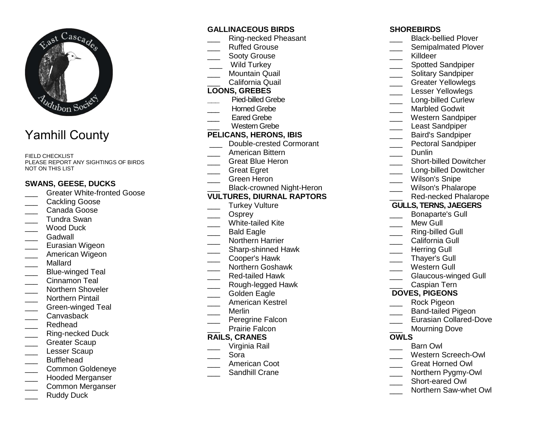

# Yamhill County

FIELD CHECKLIST PLEASE REPORT ANY SIGHTINGS OF BIRDS NOT ON THIS LIST

## **SWANS, GEESE, DUCKS**

- **LETT** Greater White-fronted Goose
- Cackling Goose
- \_\_\_ Canada Goose \_\_\_ Tundra Swan
- Wood Duck
- Gadwall
- \_\_\_ Eurasian Wigeon
- \_\_\_ American Wigeon
- \_\_\_ Mallard
- \_\_\_ Blue-winged Teal
- Cinnamon Teal
- \_\_\_ Northern Shoveler
- \_\_\_ Northern Pintail
- \_\_\_ Green-winged Teal
- \_\_\_ Canvasback
- \_\_\_ Redhead
- \_\_\_ Ring-necked Duck
- Greater Scaup
- Lesser Scaup
- \_\_\_ Bufflehead
- \_\_\_ Common Goldeneye
- Hooded Merganser
- \_\_\_ Common Merganser
- Ruddy Duck

## **GALLINACEOUS BIRDS**

- \_\_\_ Ring-necked Pheasant
- Ruffed Grouse
- Sooty Grouse
- \_\_\_ Wild Turkey
- \_\_\_ Mountain Quail
- \_\_\_ California Quail

#### **LOONS, GREBES**

- **\_\_\_** Pied-billed Grebe
- Horned Grebe
- Eared Grebe
- \_\_\_ Western Grebe

#### **PELICANS, HERONS, IBIS**

- **LETT** Double-crested Cormorant
- \_\_\_ American Bittern
- \_\_\_ Great Blue Heron
- Great Egret
- \_\_\_ Green Heron
- \_\_\_ Black-crowned Night-Heron

## **VULTURES, DIURNAL RAPTORS**

- Turkey Vulture
- Osprey
- \_\_\_ White-tailed Kite
- Bald Eagle
- \_\_\_ Northern Harrier
- \_\_\_\_ Sharp-shinned Hawk
- \_\_\_ Cooper's Hawk
- \_\_\_ Northern Goshawk
- \_\_\_ Red-tailed Hawk
- \_\_\_ Rough-legged Hawk
- Golden Eagle
- \_\_\_ American Kestrel
- \_\_\_ Merlin
- \_\_\_ Peregrine Falcon
- Prairie Falcon

## **RAILS, CRANES**

- \_\_\_ Virginia Rail
- \_\_\_ Sora
- \_\_\_ American Coot
- **\_\_\_\_** Sandhill Crane

#### **SHOREBIRDS**

- **\_\_\_\_** Black-bellied Plover **Exampalmated Plover** Killdeer \_\_\_ Spotted Sandpiper \_\_\_ Solitary Sandpiper \_\_\_ Greater Yellowlegs Lesser Yellowlegs \_\_\_\_ Long-billed Curlew Marbled Godwit \_\_\_ Western Sandpiper Least Sandpiper \_\_\_ Baird's Sandpiper **EXECTED** Pectoral Sandpiper Dunlin **\_\_\_\_** Short-billed Dowitcher **Long-billed Dowitcher** Wilson's Snipe \_\_\_ Wilson's Phalarope \_\_\_ Red-necked Phalarope **GULLS, TERNS, JAEGERS**\_\_\_ Bonaparte's Gull Mew Gull \_\_\_ Ring-billed Gull California Gull Herring Gull \_\_\_ Thayer's Gull \_\_\_ Western Gull \_\_\_ Glaucous-winged Gull \_\_\_ Caspian Tern **DOVES, PIGEONS** \_\_\_ Rock Pigeon \_\_\_ Band-tailed Pigeon **Lacks** Eurasian Collared-Dove Mourning Dove **OWLS**  \_\_\_ Barn Owl \_\_\_ Western Screech-Owl \_\_\_ Great Horned Owl
- \_\_\_ Northern Pygmy-Owl
- Short-eared Owl
- 
- \_\_\_ Northern Saw-whet Owl